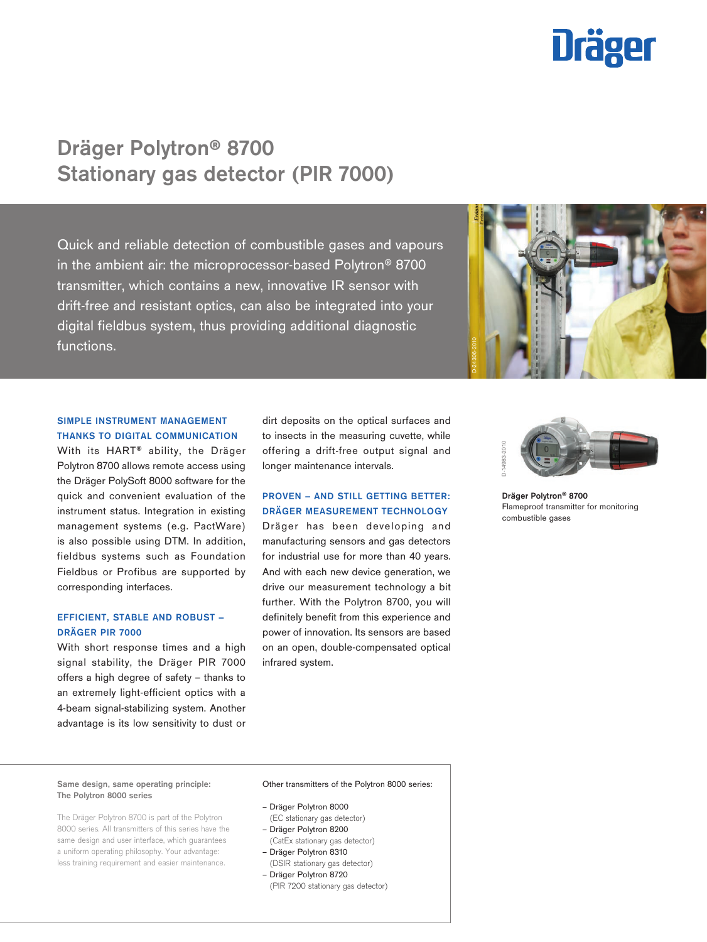# **Dräger**

# Dräger Polytron® 8700 Stationary gas detector (PIR 7000)

Quick and reliable detection of combustible gases and vapours in the ambient air: the microprocessor-based Polytron® 8700 transmitter, which contains a new, innovative IR sensor with drift-free and resistant optics, can also be integrated into your digital fieldbus system, thus providing additional diagnostic functions.



# SIMPLE INSTRUMENT MANAGEMENT THANKS TO DIGITAL COMMUNICATION

With its HART® ability, the Dräger Polytron 8700 allows remote access using the Dräger PolySoft 8000 software for the quick and convenient evaluation of the instrument status. Integration in existing management systems (e.g. PactWare) is also possible using DTM. In addition, fieldbus systems such as Foundation Fieldbus or Profibus are supported by corresponding interfaces.

### EFFICIENT, STABLE AND ROBUST – DRÄGER PIR 7000

With short response times and a high signal stability, the Dräger PIR 7000 offers a high degree of safety – thanks to an extremely light-efficient optics with a 4-beam signal-stabilizing system. Another advantage is its low sensitivity to dust or

dirt deposits on the optical surfaces and to insects in the measuring cuvette, while offering a drift-free output signal and longer maintenance intervals.

# PROVEN – AND STILL GETTING BETTER: DRÄGER MEASUREMENT TECHNOLOGY

Dräger has been developing and manufacturing sensors and gas detectors for industrial use for more than 40 years. And with each new device generation, we drive our measurement technology a bit further. With the Polytron 8700, you will definitely benefit from this experience and power of innovation. Its sensors are based on an open, double-compensated optical infrared system.



Dräger Polytron® 8700 Flameproof transmitter for monitoring

#### Same design, same operating principle: The Polytron 8000 series

The Dräger Polytron 8700 is part of the Polytron 8000 series. All transmitters of this series have the same design and user interface, which guarantees a uniform operating philosophy. Your advantage: less training requirement and easier maintenance.

#### Other transmitters of the Polytron 8000 series:

#### – Dräger Polytron 8000

- (EC stationary gas detector) – Dräger Polytron 8200
- (CatEx stationary gas detector)
- Dräger Polytron 8310 (DSIR stationary gas detector) – Dräger Polytron 8720
- (PIR 7200 stationary gas detector)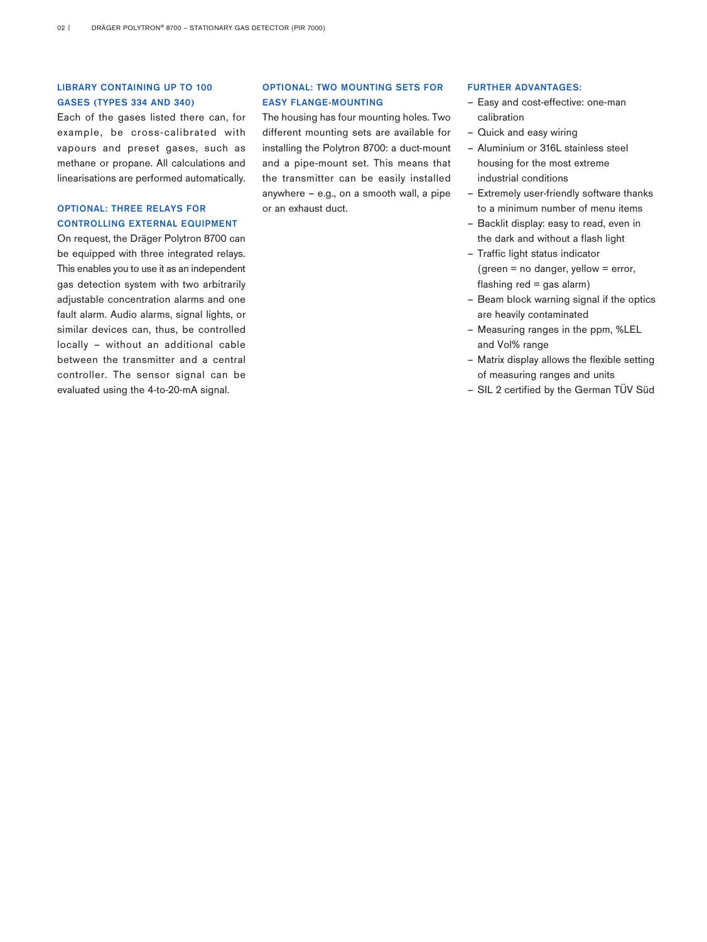# LIBRARY CONTAINING UP TO 100 GASES (TYPES 334 AND 340)

Each of the gases listed there can, for example, be cross-calibrated with vapours and preset gases, such as methane or propane. All calculations and linearisations are performed automatically.

# OPTIONAL: THREE RELAYS FOR CONTROLLING EXTERNAL EQUIPMENT

On request, the Dräger Polytron 8700 can be equipped with three integrated relays. This enables you to use it as an independent gas detection system with two arbitrarily adjustable concentration alarms and one fault alarm. Audio alarms, signal lights, or similar devices can, thus, be controlled locally – without an additional cable between the transmitter and a central controller. The sensor signal can be evaluated using the 4-to-20-mA signal.

# OPTIONAL: TWO MOUNTING SETS FOR EASY FLANGE-MOUNTING

The housing has four mounting holes. Two different mounting sets are available for installing the Polytron 8700: a duct-mount and a pipe-mount set. This means that the transmitter can be easily installed anywhere – e.g., on a smooth wall, a pipe or an exhaust duct.

#### FURTHER ADVANTAGES:

- Easy and cost-effective: one-man calibration
- Quick and easy wiring
- Aluminium or 316L stainless steel housing for the most extreme industrial conditions
- Extremely user-friendly software thanks to a minimum number of menu items
- Backlit display: easy to read, even in the dark and without a flash light
- Traffic light status indicator (green  $=$  no danger, yellow  $=$  error, flashing  $red = gas$  alarm)
- Beam block warning signal if the optics are heavily contaminated
- Measuring ranges in the ppm, %LEL and Vol% range
- Matrix display allows the flexible setting of measuring ranges and units
- SIL 2 certified by the German TÜV Süd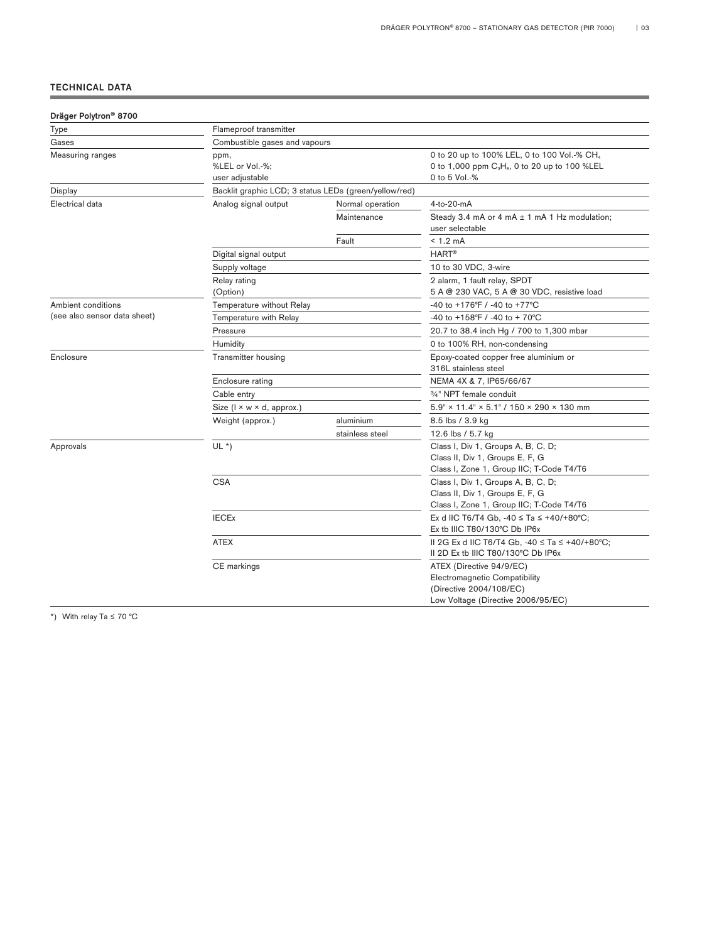# TECHNICAL DATA

| Dräger Polytron <sup>®</sup> 8700 |                                                       |                  |                                                                                                                                                   |  |  |
|-----------------------------------|-------------------------------------------------------|------------------|---------------------------------------------------------------------------------------------------------------------------------------------------|--|--|
| Type                              | Flameproof transmitter                                |                  |                                                                                                                                                   |  |  |
| Gases                             | Combustible gases and vapours                         |                  |                                                                                                                                                   |  |  |
| Measuring ranges                  | ppm,<br>%LEL or Vol.-%;<br>user adjustable            |                  | 0 to 20 up to 100% LEL, 0 to 100 Vol.-% CH <sub>4</sub><br>0 to 1,000 ppm C <sub>3</sub> H <sub>8</sub> , 0 to 20 up to 100 %LEL<br>0 to 5 Vol.-% |  |  |
| Display                           | Backlit graphic LCD; 3 status LEDs (green/yellow/red) |                  |                                                                                                                                                   |  |  |
| Electrical data                   | Analog signal output                                  | Normal operation | 4-to-20-mA                                                                                                                                        |  |  |
|                                   |                                                       | Maintenance      | Steady 3.4 mA or 4 mA $\pm$ 1 mA 1 Hz modulation;<br>user selectable                                                                              |  |  |
|                                   |                                                       | Fault            | $< 1.2$ mA                                                                                                                                        |  |  |
|                                   | Digital signal output                                 |                  | <b>HART®</b>                                                                                                                                      |  |  |
|                                   | Supply voltage                                        |                  | 10 to 30 VDC, 3-wire                                                                                                                              |  |  |
|                                   | Relay rating<br>(Option)                              |                  | 2 alarm, 1 fault relay, SPDT<br>5 A @ 230 VAC, 5 A @ 30 VDC, resistive load                                                                       |  |  |
| Ambient conditions                | Temperature without Relay                             |                  | -40 to +176°F / -40 to +77°C                                                                                                                      |  |  |
| (see also sensor data sheet)      | Temperature with Relay                                |                  | -40 to +158°F / -40 to + 70°C                                                                                                                     |  |  |
|                                   | Pressure                                              |                  | 20.7 to 38.4 inch Hg / 700 to 1,300 mbar                                                                                                          |  |  |
|                                   | Humidity                                              |                  | 0 to 100% RH, non-condensing                                                                                                                      |  |  |
| Enclosure                         | Transmitter housing                                   |                  | Epoxy-coated copper free aluminium or<br>316L stainless steel                                                                                     |  |  |
|                                   | Enclosure rating                                      |                  | NEMA 4X & 7, IP65/66/67                                                                                                                           |  |  |
|                                   | Cable entry                                           |                  | 3/ <sub>4</sub> " NPT female conduit                                                                                                              |  |  |
|                                   | Size (I × w × d, approx.)                             |                  | $5.9" \times 11.4" \times 5.1" / 150 \times 290 \times 130$ mm                                                                                    |  |  |
|                                   | Weight (approx.)                                      | aluminium        | 8.5 lbs / 3.9 kg                                                                                                                                  |  |  |
|                                   |                                                       | stainless steel  | 12.6 lbs / 5.7 kg                                                                                                                                 |  |  |
| Approvals                         | $UL^*)$                                               |                  | Class I, Div 1, Groups A, B, C, D;<br>Class II, Div 1, Groups E, F, G<br>Class I, Zone 1, Group IIC; T-Code T4/T6                                 |  |  |
|                                   | <b>CSA</b>                                            |                  | Class I, Div 1, Groups A, B, C, D;<br>Class II, Div 1, Groups E, F, G<br>Class I, Zone 1, Group IIC; T-Code T4/T6                                 |  |  |
|                                   | <b>IECEx</b>                                          |                  | Ex d IIC T6/T4 Gb, -40 $\le$ Ta $\le$ +40/+80°C;<br>Ex tb IIIC T80/130°C Db IP6x                                                                  |  |  |
|                                   | <b>ATEX</b>                                           |                  | II 2G Ex d IIC T6/T4 Gb, -40 ≤ Ta ≤ +40/+80°C;<br>II 2D Ex tb IIIC T80/130°C Db IP6x                                                              |  |  |
|                                   | CE markings                                           |                  | ATEX (Directive 94/9/EC)<br><b>Electromagnetic Compatibility</b><br>(Directive 2004/108/EC)<br>Low Voltage (Directive 2006/95/EC)                 |  |  |

\*) With relay Ta ≤ 70 °C